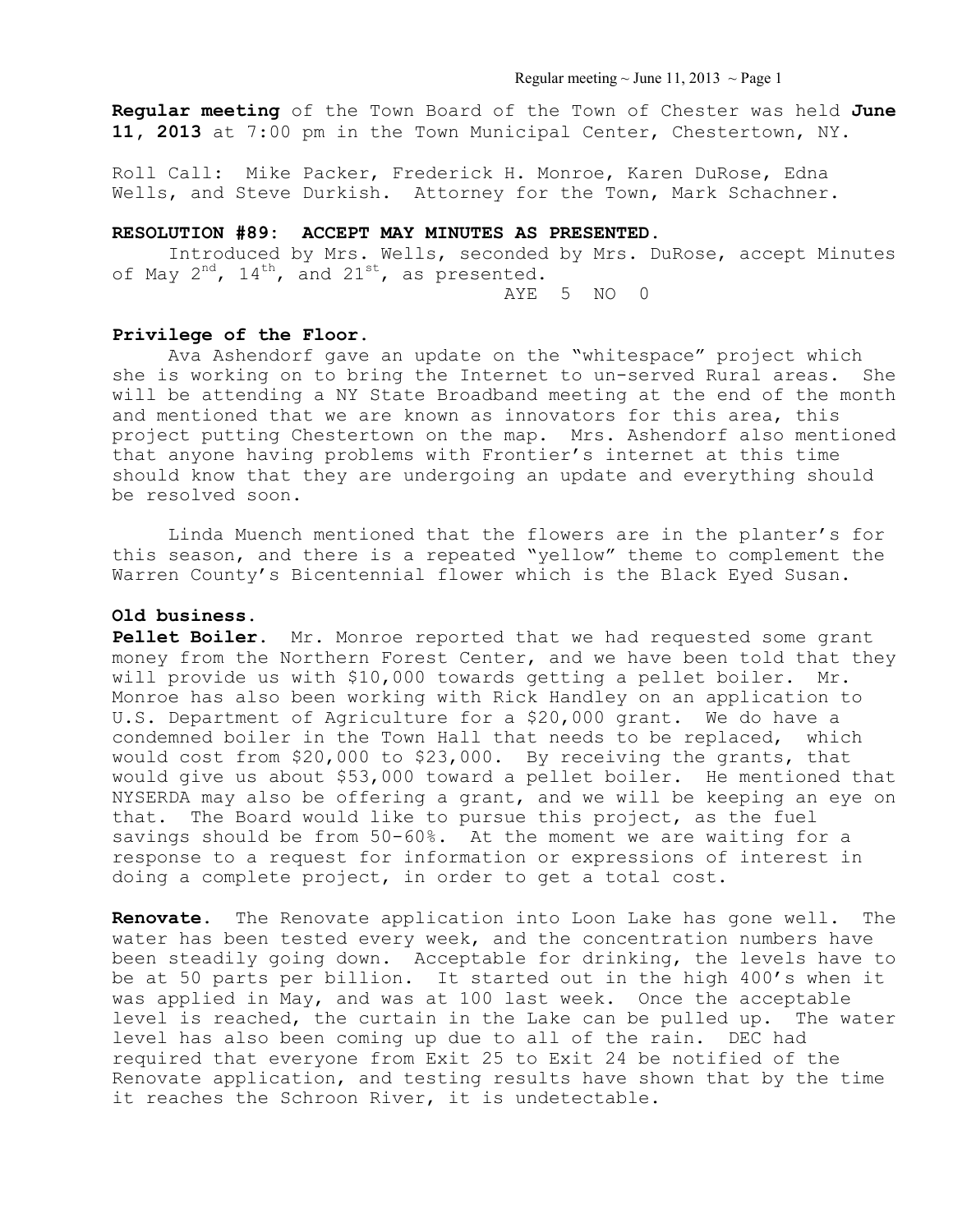Regular meeting  $\sim$  June 11, 2013  $\sim$  Page 1

**Regular meeting** of the Town Board of the Town of Chester was held **June 11, 2013** at 7:00 pm in the Town Municipal Center, Chestertown, NY.

Roll Call: Mike Packer, Frederick H. Monroe, Karen DuRose, Edna Wells, and Steve Durkish. Attorney for the Town, Mark Schachner.

### **RESOLUTION #89: ACCEPT MAY MINUTES AS PRESENTED.**

 Introduced by Mrs. Wells, seconded by Mrs. DuRose, accept Minutes of May  $2^{nd}$ ,  $14^{th}$ , and  $21^{st}$ , as presented.

AYE 5 NO 0

#### **Privilege of the Floor.**

 Ava Ashendorf gave an update on the "whitespace" project which she is working on to bring the Internet to un-served Rural areas. She will be attending a NY State Broadband meeting at the end of the month and mentioned that we are known as innovators for this area, this project putting Chestertown on the map. Mrs. Ashendorf also mentioned that anyone having problems with Frontier's internet at this time should know that they are undergoing an update and everything should be resolved soon.

 Linda Muench mentioned that the flowers are in the planter's for this season, and there is a repeated "yellow" theme to complement the Warren County's Bicentennial flower which is the Black Eyed Susan.

## **Old business.**

**Pellet Boiler.** Mr. Monroe reported that we had requested some grant money from the Northern Forest Center, and we have been told that they will provide us with \$10,000 towards getting a pellet boiler. Mr. Monroe has also been working with Rick Handley on an application to U.S. Department of Agriculture for a \$20,000 grant. We do have a condemned boiler in the Town Hall that needs to be replaced, which would cost from \$20,000 to \$23,000. By receiving the grants, that would give us about \$53,000 toward a pellet boiler. He mentioned that NYSERDA may also be offering a grant, and we will be keeping an eye on that. The Board would like to pursue this project, as the fuel savings should be from 50-60%. At the moment we are waiting for a response to a request for information or expressions of interest in doing a complete project, in order to get a total cost.

**Renovate.** The Renovate application into Loon Lake has gone well. The water has been tested every week, and the concentration numbers have been steadily going down. Acceptable for drinking, the levels have to be at 50 parts per billion. It started out in the high 400's when it was applied in May, and was at 100 last week. Once the acceptable level is reached, the curtain in the Lake can be pulled up. The water level has also been coming up due to all of the rain. DEC had required that everyone from Exit 25 to Exit 24 be notified of the Renovate application, and testing results have shown that by the time it reaches the Schroon River, it is undetectable.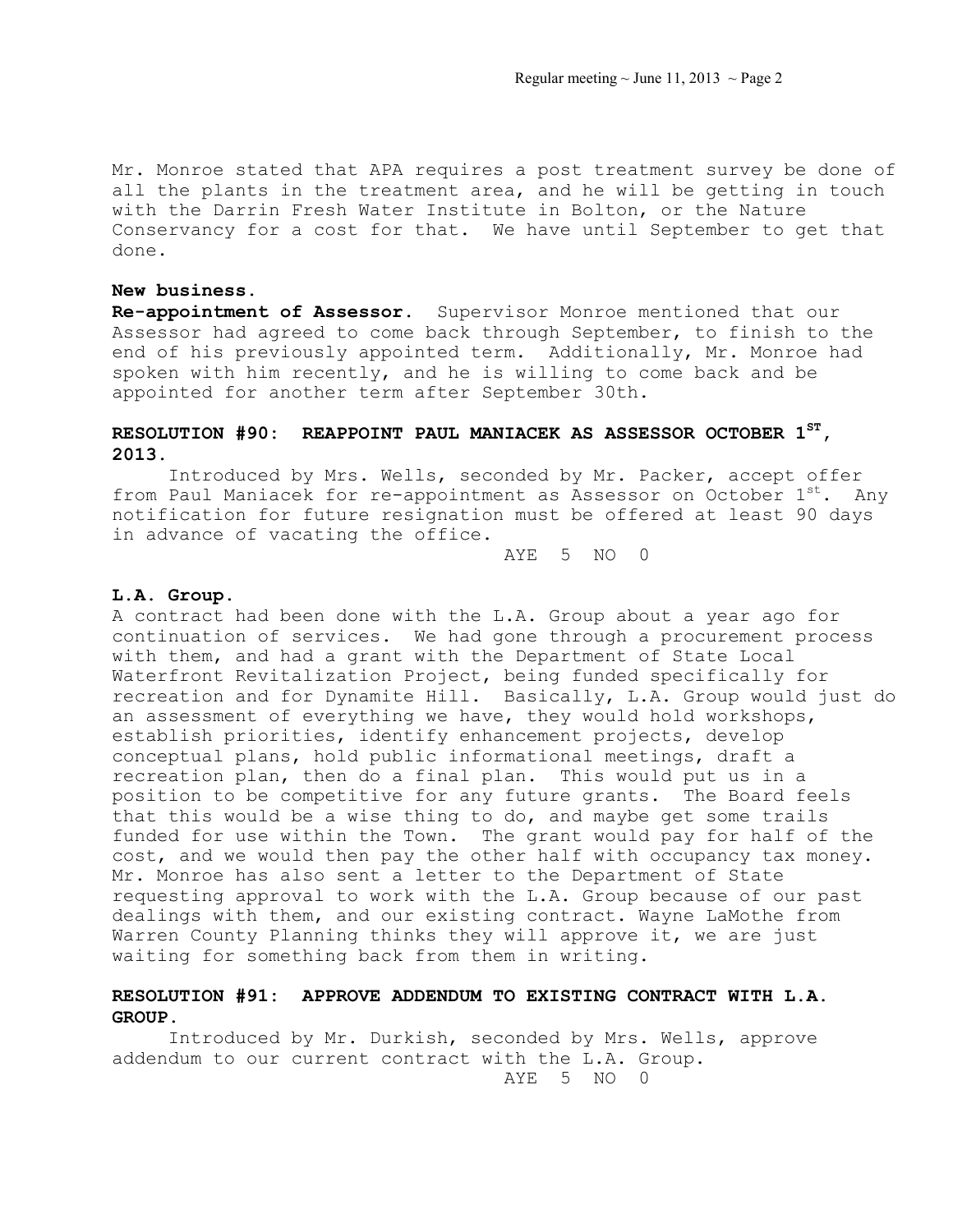Mr. Monroe stated that APA requires a post treatment survey be done of all the plants in the treatment area, and he will be getting in touch with the Darrin Fresh Water Institute in Bolton, or the Nature Conservancy for a cost for that. We have until September to get that done.

#### **New business.**

**Re-appointment of Assessor.** Supervisor Monroe mentioned that our Assessor had agreed to come back through September, to finish to the end of his previously appointed term. Additionally, Mr. Monroe had spoken with him recently, and he is willing to come back and be appointed for another term after September 30th.

# **RESOLUTION #90: REAPPOINT PAUL MANIACEK AS ASSESSOR OCTOBER 1ST, 2013.**

Introduced by Mrs. Wells, seconded by Mr. Packer, accept offer from Paul Maniacek for re-appointment as Assessor on October  $1^{st}$ . Any notification for future resignation must be offered at least 90 days in advance of vacating the office.

AYE 5 NO 0

#### **L.A. Group.**

A contract had been done with the L.A. Group about a year ago for continuation of services. We had gone through a procurement process with them, and had a grant with the Department of State Local Waterfront Revitalization Project, being funded specifically for recreation and for Dynamite Hill. Basically, L.A. Group would just do an assessment of everything we have, they would hold workshops, establish priorities, identify enhancement projects, develop conceptual plans, hold public informational meetings, draft a recreation plan, then do a final plan. This would put us in a position to be competitive for any future grants. The Board feels that this would be a wise thing to do, and maybe get some trails funded for use within the Town. The grant would pay for half of the cost, and we would then pay the other half with occupancy tax money. Mr. Monroe has also sent a letter to the Department of State requesting approval to work with the L.A. Group because of our past dealings with them, and our existing contract. Wayne LaMothe from Warren County Planning thinks they will approve it, we are just waiting for something back from them in writing.

## **RESOLUTION #91: APPROVE ADDENDUM TO EXISTING CONTRACT WITH L.A. GROUP.**

Introduced by Mr. Durkish, seconded by Mrs. Wells, approve addendum to our current contract with the L.A. Group.

AYE 5 NO 0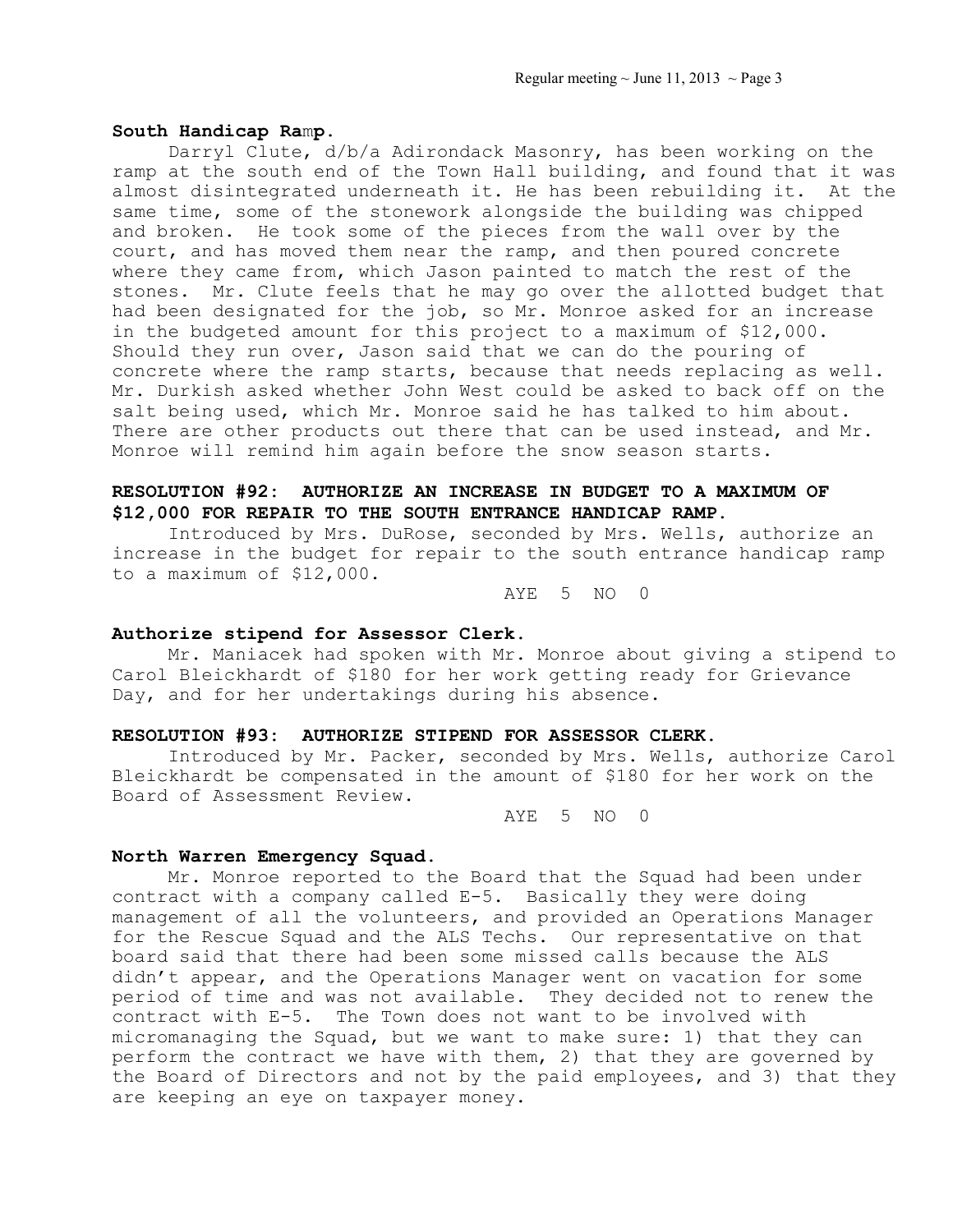#### **South Handicap Ra**m**p.**

Darryl Clute, d/b/a Adirondack Masonry, has been working on the ramp at the south end of the Town Hall building, and found that it was almost disintegrated underneath it. He has been rebuilding it. At the same time, some of the stonework alongside the building was chipped and broken. He took some of the pieces from the wall over by the court, and has moved them near the ramp, and then poured concrete where they came from, which Jason painted to match the rest of the stones. Mr. Clute feels that he may go over the allotted budget that had been designated for the job, so Mr. Monroe asked for an increase in the budgeted amount for this project to a maximum of \$12,000. Should they run over, Jason said that we can do the pouring of concrete where the ramp starts, because that needs replacing as well. Mr. Durkish asked whether John West could be asked to back off on the salt being used, which Mr. Monroe said he has talked to him about. There are other products out there that can be used instead, and Mr. Monroe will remind him again before the snow season starts.

## **RESOLUTION #92: AUTHORIZE AN INCREASE IN BUDGET TO A MAXIMUM OF \$12,000 FOR REPAIR TO THE SOUTH ENTRANCE HANDICAP RAMP.**

Introduced by Mrs. DuRose, seconded by Mrs. Wells, authorize an increase in the budget for repair to the south entrance handicap ramp to a maximum of \$12,000.

AYE 5 NO 0

### **Authorize stipend for Assessor Clerk.**

 Mr. Maniacek had spoken with Mr. Monroe about giving a stipend to Carol Bleickhardt of \$180 for her work getting ready for Grievance Day, and for her undertakings during his absence.

#### **RESOLUTION #93: AUTHORIZE STIPEND FOR ASSESSOR CLERK.**

Introduced by Mr. Packer, seconded by Mrs. Wells, authorize Carol Bleickhardt be compensated in the amount of \$180 for her work on the Board of Assessment Review.

AYE 5 NO 0

#### **North Warren Emergency Squad.**

 Mr. Monroe reported to the Board that the Squad had been under contract with a company called E-5. Basically they were doing management of all the volunteers, and provided an Operations Manager for the Rescue Squad and the ALS Techs. Our representative on that board said that there had been some missed calls because the ALS didn't appear, and the Operations Manager went on vacation for some period of time and was not available. They decided not to renew the contract with E-5. The Town does not want to be involved with micromanaging the Squad, but we want to make sure: 1) that they can perform the contract we have with them, 2) that they are governed by the Board of Directors and not by the paid employees, and 3) that they are keeping an eye on taxpayer money.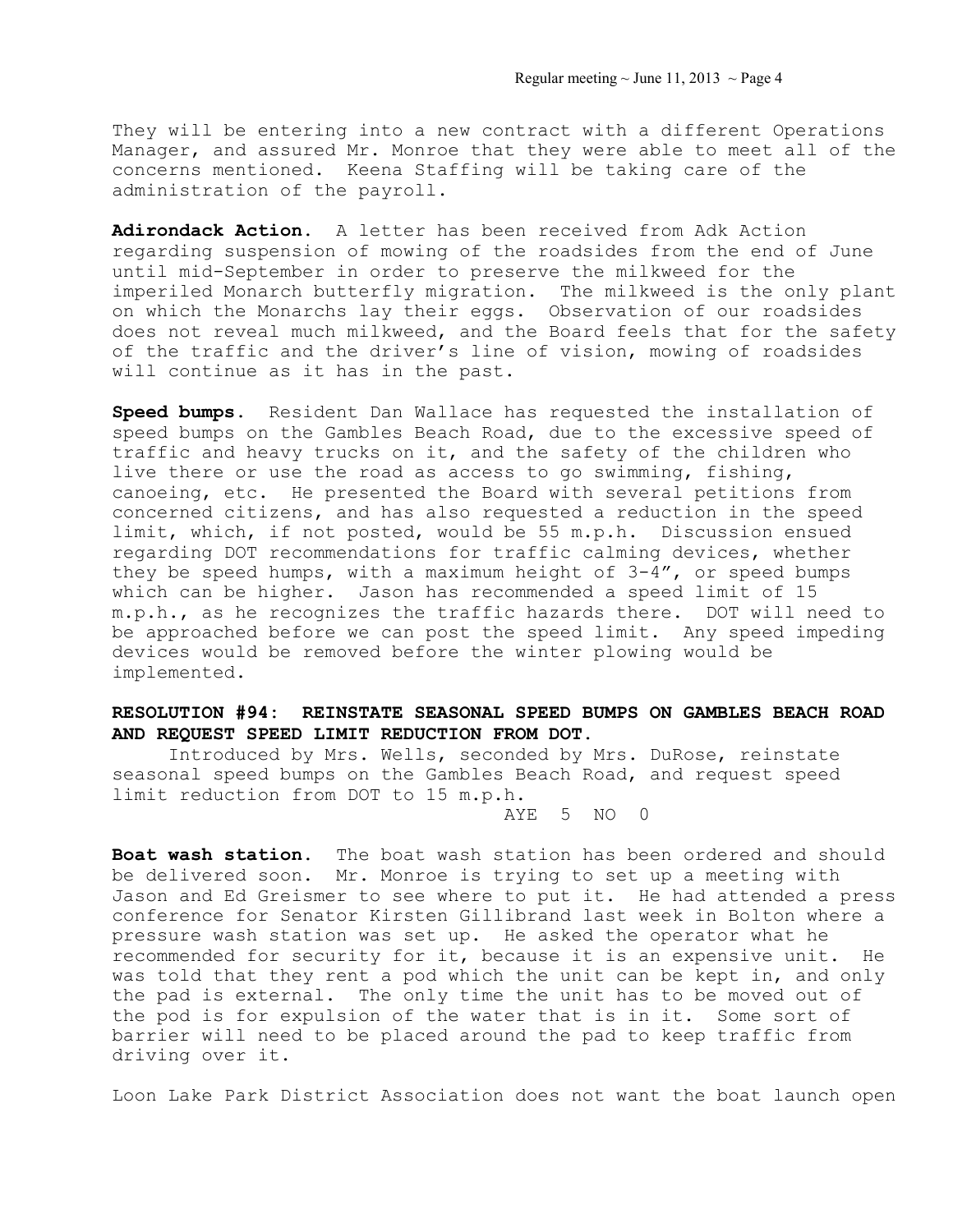They will be entering into a new contract with a different Operations Manager, and assured Mr. Monroe that they were able to meet all of the concerns mentioned. Keena Staffing will be taking care of the administration of the payroll.

**Adirondack Action.** A letter has been received from Adk Action regarding suspension of mowing of the roadsides from the end of June until mid-September in order to preserve the milkweed for the imperiled Monarch butterfly migration. The milkweed is the only plant on which the Monarchs lay their eggs. Observation of our roadsides does not reveal much milkweed, and the Board feels that for the safety of the traffic and the driver's line of vision, mowing of roadsides will continue as it has in the past.

**Speed bumps.** Resident Dan Wallace has requested the installation of speed bumps on the Gambles Beach Road, due to the excessive speed of traffic and heavy trucks on it, and the safety of the children who live there or use the road as access to go swimming, fishing, canoeing, etc. He presented the Board with several petitions from concerned citizens, and has also requested a reduction in the speed limit, which, if not posted, would be 55 m.p.h. Discussion ensued regarding DOT recommendations for traffic calming devices, whether they be speed humps, with a maximum height of 3-4", or speed bumps which can be higher. Jason has recommended a speed limit of 15 m.p.h., as he recognizes the traffic hazards there. DOT will need to be approached before we can post the speed limit. Any speed impeding devices would be removed before the winter plowing would be implemented.

# **RESOLUTION #94: REINSTATE SEASONAL SPEED BUMPS ON GAMBLES BEACH ROAD AND REQUEST SPEED LIMIT REDUCTION FROM DOT.**

 Introduced by Mrs. Wells, seconded by Mrs. DuRose, reinstate seasonal speed bumps on the Gambles Beach Road, and request speed limit reduction from DOT to 15 m.p.h.

AYE 5 NO 0

**Boat wash station.** The boat wash station has been ordered and should be delivered soon. Mr. Monroe is trying to set up a meeting with Jason and Ed Greismer to see where to put it. He had attended a press conference for Senator Kirsten Gillibrand last week in Bolton where a pressure wash station was set up. He asked the operator what he recommended for security for it, because it is an expensive unit. He was told that they rent a pod which the unit can be kept in, and only the pad is external. The only time the unit has to be moved out of the pod is for expulsion of the water that is in it. Some sort of barrier will need to be placed around the pad to keep traffic from driving over it.

Loon Lake Park District Association does not want the boat launch open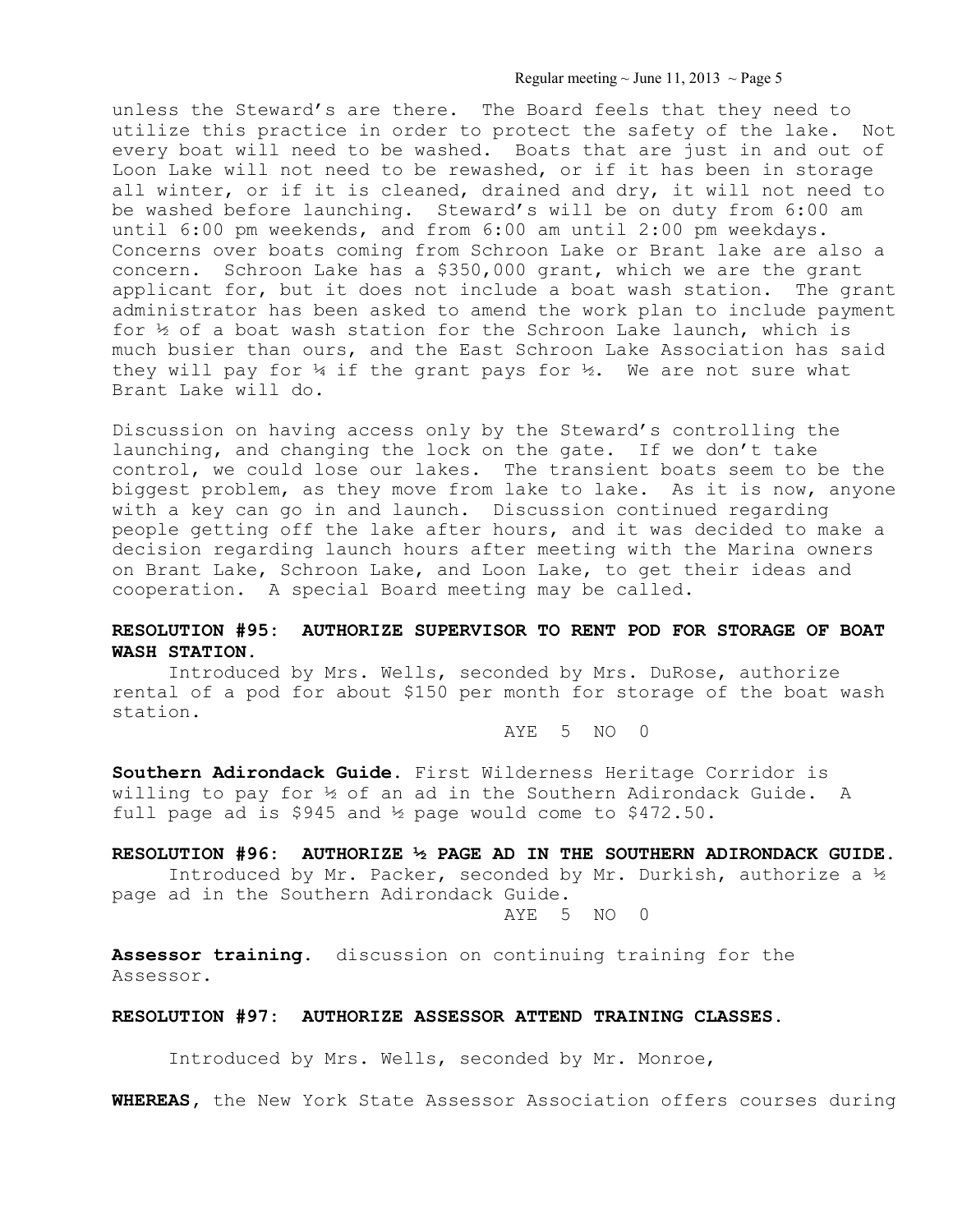Regular meeting  $\sim$  June 11, 2013  $\sim$  Page 5

unless the Steward's are there. The Board feels that they need to utilize this practice in order to protect the safety of the lake. Not every boat will need to be washed. Boats that are just in and out of Loon Lake will not need to be rewashed, or if it has been in storage all winter, or if it is cleaned, drained and dry, it will not need to be washed before launching. Steward's will be on duty from 6:00 am until 6:00 pm weekends, and from 6:00 am until 2:00 pm weekdays. Concerns over boats coming from Schroon Lake or Brant lake are also a concern. Schroon Lake has a \$350,000 grant, which we are the grant applicant for, but it does not include a boat wash station. The grant administrator has been asked to amend the work plan to include payment for  $\frac{1}{2}$  of a boat wash station for the Schroon Lake launch, which is much busier than ours, and the East Schroon Lake Association has said they will pay for  $\frac{1}{4}$  if the grant pays for  $\frac{1}{2}$ . We are not sure what Brant Lake will do.

Discussion on having access only by the Steward's controlling the launching, and changing the lock on the gate. If we don't take control, we could lose our lakes. The transient boats seem to be the biggest problem, as they move from lake to lake. As it is now, anyone with a key can go in and launch. Discussion continued regarding people getting off the lake after hours, and it was decided to make a decision regarding launch hours after meeting with the Marina owners on Brant Lake, Schroon Lake, and Loon Lake, to get their ideas and cooperation. A special Board meeting may be called.

## **RESOLUTION #95: AUTHORIZE SUPERVISOR TO RENT POD FOR STORAGE OF BOAT WASH STATION.**

 Introduced by Mrs. Wells, seconded by Mrs. DuRose, authorize rental of a pod for about \$150 per month for storage of the boat wash station.

AYE 5 NO 0

**Southern Adirondack Guide.** First Wilderness Heritage Corridor is willing to pay for ½ of an ad in the Southern Adirondack Guide. A full page ad is \$945 and ½ page would come to \$472.50.

### **RESOLUTION #96: AUTHORIZE ½ PAGE AD IN THE SOUTHERN ADIRONDACK GUIDE.**

Introduced by Mr. Packer, seconded by Mr. Durkish, authorize a ½ page ad in the Southern Adirondack Guide.

AYE 5 NO 0

**Assessor training.** discussion on continuing training for the Assessor.

### **RESOLUTION #97: AUTHORIZE ASSESSOR ATTEND TRAINING CLASSES.**

Introduced by Mrs. Wells, seconded by Mr. Monroe,

**WHEREAS,** the New York State Assessor Association offers courses during